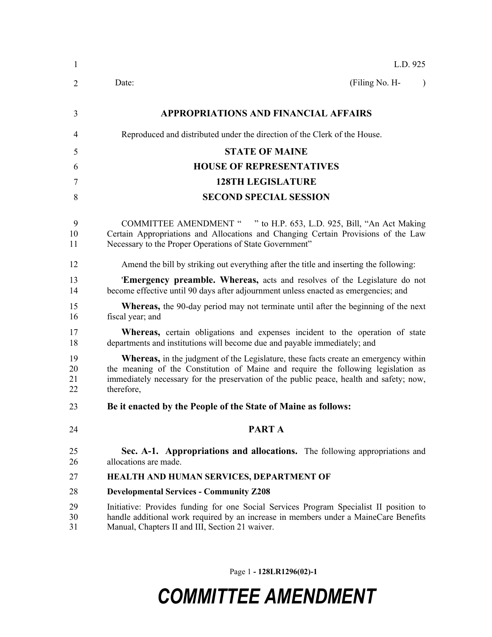| $\mathbf{1}$         | L.D. 925                                                                                                                                                                                                                                                                                 |
|----------------------|------------------------------------------------------------------------------------------------------------------------------------------------------------------------------------------------------------------------------------------------------------------------------------------|
| 2                    | (Filing No. H-<br>Date:                                                                                                                                                                                                                                                                  |
| 3                    | <b>APPROPRIATIONS AND FINANCIAL AFFAIRS</b>                                                                                                                                                                                                                                              |
| 4                    | Reproduced and distributed under the direction of the Clerk of the House.                                                                                                                                                                                                                |
| 5                    | <b>STATE OF MAINE</b>                                                                                                                                                                                                                                                                    |
| 6                    | <b>HOUSE OF REPRESENTATIVES</b>                                                                                                                                                                                                                                                          |
| 7                    | <b>128TH LEGISLATURE</b>                                                                                                                                                                                                                                                                 |
| 8                    | <b>SECOND SPECIAL SESSION</b>                                                                                                                                                                                                                                                            |
| 9<br>10<br>11        | COMMITTEE AMENDMENT " " to H.P. 653, L.D. 925, Bill, "An Act Making<br>Certain Appropriations and Allocations and Changing Certain Provisions of the Law<br>Necessary to the Proper Operations of State Government"                                                                      |
| 12                   | Amend the bill by striking out everything after the title and inserting the following:                                                                                                                                                                                                   |
| 13<br>14             | <b>Emergency preamble. Whereas,</b> acts and resolves of the Legislature do not<br>become effective until 90 days after adjournment unless enacted as emergencies; and                                                                                                                   |
| 15<br>16             | <b>Whereas,</b> the 90-day period may not terminate until after the beginning of the next<br>fiscal year; and                                                                                                                                                                            |
| 17<br>18             | <b>Whereas,</b> certain obligations and expenses incident to the operation of state<br>departments and institutions will become due and payable immediately; and                                                                                                                         |
| 19<br>20<br>21<br>22 | <b>Whereas,</b> in the judgment of the Legislature, these facts create an emergency within<br>the meaning of the Constitution of Maine and require the following legislation as<br>immediately necessary for the preservation of the public peace, health and safety; now,<br>therefore, |
| 23                   | Be it enacted by the People of the State of Maine as follows:                                                                                                                                                                                                                            |
| 24                   | <b>PARTA</b>                                                                                                                                                                                                                                                                             |
| 25<br>26             | Sec. A-1. Appropriations and allocations. The following appropriations and<br>allocations are made.                                                                                                                                                                                      |
| 27                   | HEALTH AND HUMAN SERVICES, DEPARTMENT OF                                                                                                                                                                                                                                                 |
| 28                   | <b>Developmental Services - Community Z208</b>                                                                                                                                                                                                                                           |
| 29<br>30<br>31       | Initiative: Provides funding for one Social Services Program Specialist II position to<br>handle additional work required by an increase in members under a MaineCare Benefits<br>Manual, Chapters II and III, Section 21 waiver.                                                        |

Page 1 **- 128LR1296(02)-1**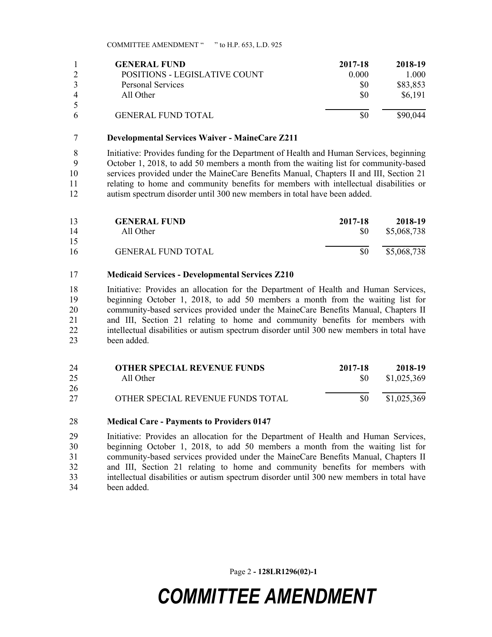|   | <b>GENERAL FUND</b>           | 2017-18 | 2018-19  |
|---|-------------------------------|---------|----------|
|   | POSITIONS - LEGISLATIVE COUNT | 0.000   | 1.000    |
|   | <b>Personal Services</b>      | \$0     | \$83,853 |
| 4 | All Other                     | \$0     | \$6,191  |
| 5 |                               |         |          |
| 6 | <b>GENERAL FUND TOTAL</b>     |         | \$90,044 |

#### **Developmental Services Waiver - MaineCare Z211**

 Initiative: Provides funding for the Department of Health and Human Services, beginning October 1, 2018, to add 50 members a month from the waiting list for community-based services provided under the MaineCare Benefits Manual, Chapters II and III, Section 21 relating to home and community benefits for members with intellectual disabilities or autism spectrum disorder until 300 new members in total have been added.

| 13 | <b>GENERAL FUND</b>       | 2017-18       | 2018-19     |
|----|---------------------------|---------------|-------------|
| 14 | All Other                 | <sup>SO</sup> | \$5,068,738 |
| 15 |                           |               |             |
| 16 | <b>GENERAL FUND TOTAL</b> | \$0           | \$5,068,738 |

#### **Medicaid Services - Developmental Services Z210**

 Initiative: Provides an allocation for the Department of Health and Human Services, beginning October 1, 2018, to add 50 members a month from the waiting list for 20 community-based services provided under the MaineCare Benefits Manual, Chapters II and III, Section 21 relating to home and community benefits for members with intellectual disabilities or autism spectrum disorder until 300 new members in total have been added.

| 24 | <b>OTHER SPECIAL REVENUE FUNDS</b> | 2017-18   | 2018-19     |
|----|------------------------------------|-----------|-------------|
| 25 | All Other                          | <b>SO</b> | \$1,025,369 |
| 26 |                                    |           |             |
| 27 | OTHER SPECIAL REVENUE FUNDS TOTAL  | SO.       | \$1,025,369 |

#### **Medical Care - Payments to Providers 0147**

 Initiative: Provides an allocation for the Department of Health and Human Services, beginning October 1, 2018, to add 50 members a month from the waiting list for community-based services provided under the MaineCare Benefits Manual, Chapters II and III, Section 21 relating to home and community benefits for members with intellectual disabilities or autism spectrum disorder until 300 new members in total have been added.

Page 2 **- 128LR1296(02)-1**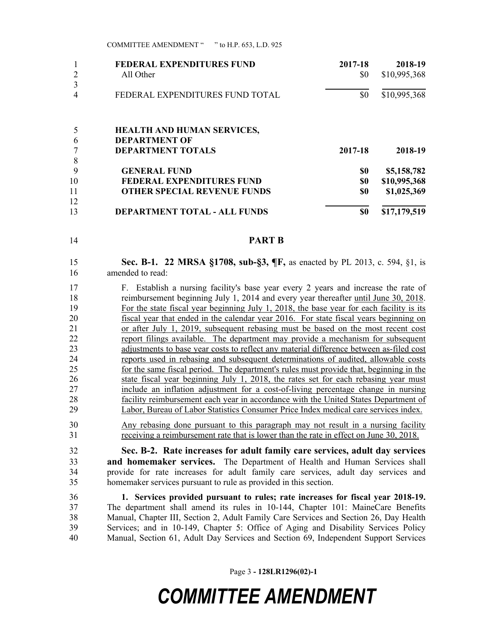|    | <b>FEDERAL EXPENDITURES FUND</b>    | 2017-18 | 2018-19      |
|----|-------------------------------------|---------|--------------|
|    | All Other                           | \$0     | \$10,995,368 |
| 3  |                                     |         |              |
|    | FEDERAL EXPENDITURES FUND TOTAL     | \$0     | \$10,995,368 |
|    | <b>HEALTH AND HUMAN SERVICES,</b>   |         |              |
| 6  | <b>DEPARTMENT OF</b>                |         |              |
|    | <b>DEPARTMENT TOTALS</b>            | 2017-18 | 2018-19      |
| 8  |                                     |         |              |
| 9  | <b>GENERAL FUND</b>                 | \$0     | \$5,158,782  |
| 10 | <b>FEDERAL EXPENDITURES FUND</b>    | \$0     | \$10,995,368 |
| 11 | <b>OTHER SPECIAL REVENUE FUNDS</b>  | \$0     | \$1,025,369  |
| 12 |                                     |         |              |
| 13 | <b>DEPARTMENT TOTAL - ALL FUNDS</b> | \$0     | \$17,179,519 |

**PART B**

 **Sec. B-1. 22 MRSA §1708, sub-§3, ¶F,** as enacted by PL 2013, c. 594, §1, is amended to read:

 F. Establish a nursing facility's base year every 2 years and increase the rate of 18 reimbursement beginning July 1, 2014 and every year thereafter until June 30, 2018. For the state fiscal year beginning July 1, 2018, the base year for each facility is its fiscal year that ended in the calendar year 2016. For state fiscal years beginning on or after July 1, 2019, subsequent rebasing must be based on the most recent cost report filings available. The department may provide a mechanism for subsequent adjustments to base year costs to reflect any material difference between as-filed cost reports used in rebasing and subsequent determinations of audited, allowable costs for the same fiscal period. The department's rules must provide that, beginning in the state fiscal year beginning July 1, 2018, the rates set for each rebasing year must include an inflation adjustment for a cost-of-living percentage change in nursing facility reimbursement each year in accordance with the United States Department of Labor, Bureau of Labor Statistics Consumer Price Index medical care services index.

 Any rebasing done pursuant to this paragraph may not result in a nursing facility receiving a reimbursement rate that is lower than the rate in effect on June 30, 2018.

 **Sec. B-2. Rate increases for adult family care services, adult day services and homemaker services.** The Department of Health and Human Services shall provide for rate increases for adult family care services, adult day services and homemaker services pursuant to rule as provided in this section.

 **1. Services provided pursuant to rules; rate increases for fiscal year 2018-19.** The department shall amend its rules in 10-144, Chapter 101: MaineCare Benefits Manual, Chapter III, Section 2, Adult Family Care Services and Section 26, Day Health Services; and in 10-149, Chapter 5: Office of Aging and Disability Services Policy Manual, Section 61, Adult Day Services and Section 69, Independent Support Services

Page 3 **- 128LR1296(02)-1**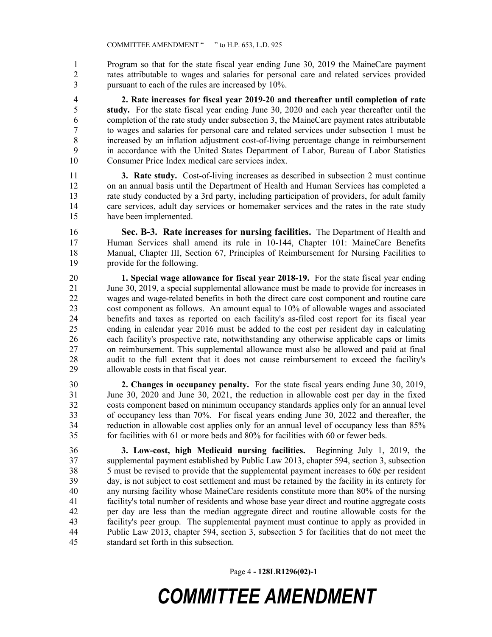Program so that for the state fiscal year ending June 30, 2019 the MaineCare payment rates attributable to wages and salaries for personal care and related services provided pursuant to each of the rules are increased by 10%.

 **2. Rate increases for fiscal year 2019-20 and thereafter until completion of rate study.** For the state fiscal year ending June 30, 2020 and each year thereafter until the completion of the rate study under subsection 3, the MaineCare payment rates attributable to wages and salaries for personal care and related services under subsection 1 must be increased by an inflation adjustment cost-of-living percentage change in reimbursement in accordance with the United States Department of Labor, Bureau of Labor Statistics Consumer Price Index medical care services index.

 **3. Rate study.** Cost-of-living increases as described in subsection 2 must continue on an annual basis until the Department of Health and Human Services has completed a rate study conducted by a 3rd party, including participation of providers, for adult family care services, adult day services or homemaker services and the rates in the rate study have been implemented.

 **Sec. B-3. Rate increases for nursing facilities.** The Department of Health and Human Services shall amend its rule in 10-144, Chapter 101: MaineCare Benefits Manual, Chapter III, Section 67, Principles of Reimbursement for Nursing Facilities to provide for the following.

 **1. Special wage allowance for fiscal year 2018-19.** For the state fiscal year ending June 30, 2019, a special supplemental allowance must be made to provide for increases in wages and wage-related benefits in both the direct care cost component and routine care cost component as follows. An amount equal to 10% of allowable wages and associated benefits and taxes as reported on each facility's as-filed cost report for its fiscal year ending in calendar year 2016 must be added to the cost per resident day in calculating each facility's prospective rate, notwithstanding any otherwise applicable caps or limits on reimbursement. This supplemental allowance must also be allowed and paid at final audit to the full extent that it does not cause reimbursement to exceed the facility's allowable costs in that fiscal year.

 **2. Changes in occupancy penalty.** For the state fiscal years ending June 30, 2019, June 30, 2020 and June 30, 2021, the reduction in allowable cost per day in the fixed costs component based on minimum occupancy standards applies only for an annual level of occupancy less than 70%. For fiscal years ending June 30, 2022 and thereafter, the reduction in allowable cost applies only for an annual level of occupancy less than 85% for facilities with 61 or more beds and 80% for facilities with 60 or fewer beds.

 **3. Low-cost, high Medicaid nursing facilities.** Beginning July 1, 2019, the supplemental payment established by Public Law 2013, chapter 594, section 3, subsection  $\frac{1}{38}$  5 must be revised to provide that the supplemental payment increases to 60¢ per resident day, is not subject to cost settlement and must be retained by the facility in its entirety for any nursing facility whose MaineCare residents constitute more than 80% of the nursing facility's total number of residents and whose base year direct and routine aggregate costs per day are less than the median aggregate direct and routine allowable costs for the facility's peer group. The supplemental payment must continue to apply as provided in Public Law 2013, chapter 594, section 3, subsection 5 for facilities that do not meet the standard set forth in this subsection.

Page 4 **- 128LR1296(02)-1**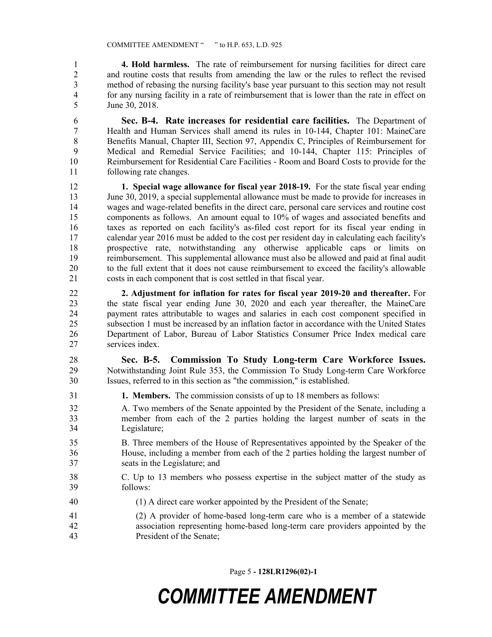**4. Hold harmless.** The rate of reimbursement for nursing facilities for direct care and routine costs that results from amending the law or the rules to reflect the revised method of rebasing the nursing facility's base year pursuant to this section may not result for any nursing facility in a rate of reimbursement that is lower than the rate in effect on June 30, 2018.

 **Sec. B-4. Rate increases for residential care facilities.** The Department of Health and Human Services shall amend its rules in 10-144, Chapter 101: MaineCare 8 Benefits Manual, Chapter III, Section 97, Appendix C, Principles of Reimbursement for Medical and Remedial Service Facilities; and 10-144, Chapter 115: Principles of Reimbursement for Residential Care Facilities - Room and Board Costs to provide for the following rate changes.

 **1. Special wage allowance for fiscal year 2018-19.** For the state fiscal year ending 13 June 30, 2019, a special supplemental allowance must be made to provide for increases in wages and wage-related benefits in the direct care, personal care services and routine cost 15 components as follows. An amount equal to 10% of wages and associated benefits and taxes as reported on each facility's as-filed cost report for its fiscal year ending in calendar year 2016 must be added to the cost per resident day in calculating each facility's prospective rate, notwithstanding any otherwise applicable caps or limits on reimbursement. This supplemental allowance must also be allowed and paid at final audit to the full extent that it does not cause reimbursement to exceed the facility's allowable costs in each component that is cost settled in that fiscal year.

 **2. Adjustment for inflation for rates for fiscal year 2019-20 and thereafter.** For the state fiscal year ending June 30, 2020 and each year thereafter, the MaineCare payment rates attributable to wages and salaries in each cost component specified in subsection 1 must be increased by an inflation factor in accordance with the United States Department of Labor, Bureau of Labor Statistics Consumer Price Index medical care services index.

 **Sec. B-5. Commission To Study Long-term Care Workforce Issues.** Notwithstanding Joint Rule 353, the Commission To Study Long-term Care Workforce Issues, referred to in this section as "the commission," is established.

- **1. Members.** The commission consists of up to 18 members as follows:
- A. Two members of the Senate appointed by the President of the Senate, including a member from each of the 2 parties holding the largest number of seats in the Legislature;
- B. Three members of the House of Representatives appointed by the Speaker of the House, including a member from each of the 2 parties holding the largest number of seats in the Legislature; and
- C. Up to 13 members who possess expertise in the subject matter of the study as follows:
- (1) A direct care worker appointed by the President of the Senate;
- (2) A provider of home-based long-term care who is a member of a statewide association representing home-based long-term care providers appointed by the President of the Senate;

Page 5 **- 128LR1296(02)-1**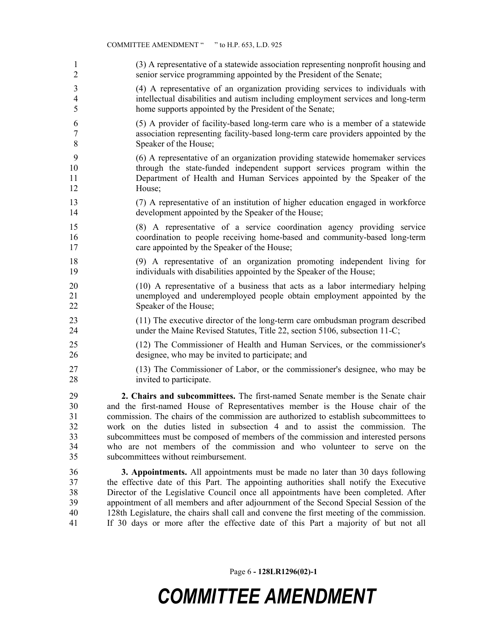(3) A representative of a statewide association representing nonprofit housing and senior service programming appointed by the President of the Senate;

 (4) A representative of an organization providing services to individuals with intellectual disabilities and autism including employment services and long-term home supports appointed by the President of the Senate;

- (5) A provider of facility-based long-term care who is a member of a statewide association representing facility-based long-term care providers appointed by the Speaker of the House;
- (6) A representative of an organization providing statewide homemaker services through the state-funded independent support services program within the 11 Department of Health and Human Services appointed by the Speaker of the House;
- (7) A representative of an institution of higher education engaged in workforce development appointed by the Speaker of the House;
- (8) A representative of a service coordination agency providing service coordination to people receiving home-based and community-based long-term 17 care appointed by the Speaker of the House;
- (9) A representative of an organization promoting independent living for individuals with disabilities appointed by the Speaker of the House;
- (10) A representative of a business that acts as a labor intermediary helping unemployed and underemployed people obtain employment appointed by the 22 Speaker of the House;
- (11) The executive director of the long-term care ombudsman program described under the Maine Revised Statutes, Title 22, section 5106, subsection 11-C;
- (12) The Commissioner of Health and Human Services, or the commissioner's designee, who may be invited to participate; and
- (13) The Commissioner of Labor, or the commissioner's designee, who may be invited to participate.

 **2. Chairs and subcommittees.** The first-named Senate member is the Senate chair and the first-named House of Representatives member is the House chair of the commission. The chairs of the commission are authorized to establish subcommittees to work on the duties listed in subsection 4 and to assist the commission. The subcommittees must be composed of members of the commission and interested persons who are not members of the commission and who volunteer to serve on the subcommittees without reimbursement.

 **3. Appointments.** All appointments must be made no later than 30 days following the effective date of this Part. The appointing authorities shall notify the Executive Director of the Legislative Council once all appointments have been completed. After appointment of all members and after adjournment of the Second Special Session of the 128th Legislature, the chairs shall call and convene the first meeting of the commission. If 30 days or more after the effective date of this Part a majority of but not all

Page 6 **- 128LR1296(02)-1**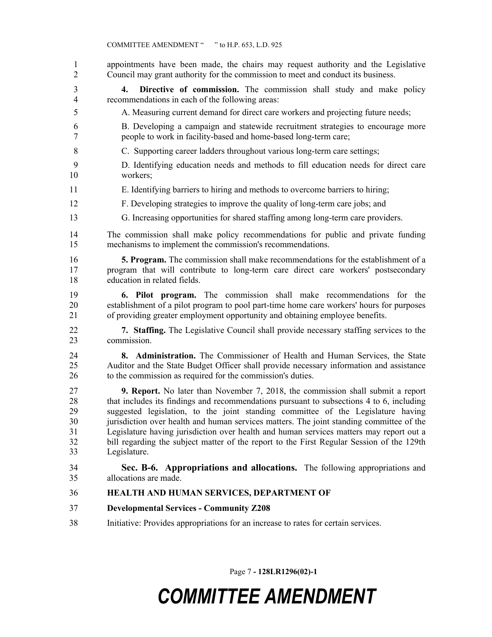appointments have been made, the chairs may request authority and the Legislative Council may grant authority for the commission to meet and conduct its business. **4. Directive of commission.** The commission shall study and make policy recommendations in each of the following areas: A. Measuring current demand for direct care workers and projecting future needs; B. Developing a campaign and statewide recruitment strategies to encourage more people to work in facility-based and home-based long-term care; C. Supporting career ladders throughout various long-term care settings; D. Identifying education needs and methods to fill education needs for direct care workers; E. Identifying barriers to hiring and methods to overcome barriers to hiring; F. Developing strategies to improve the quality of long-term care jobs; and G. Increasing opportunities for shared staffing among long-term care providers. The commission shall make policy recommendations for public and private funding mechanisms to implement the commission's recommendations. **5. Program.** The commission shall make recommendations for the establishment of a program that will contribute to long-term care direct care workers' postsecondary education in related fields. **6. Pilot program.** The commission shall make recommendations for the establishment of a pilot program to pool part-time home care workers' hours for purposes of providing greater employment opportunity and obtaining employee benefits. **7. Staffing.** The Legislative Council shall provide necessary staffing services to the commission. **8. Administration.** The Commissioner of Health and Human Services, the State Auditor and the State Budget Officer shall provide necessary information and assistance to the commission as required for the commission's duties. **9. Report.** No later than November 7, 2018, the commission shall submit a report that includes its findings and recommendations pursuant to subsections 4 to 6, including suggested legislation, to the joint standing committee of the Legislature having jurisdiction over health and human services matters. The joint standing committee of the Legislature having jurisdiction over health and human services matters may report out a bill regarding the subject matter of the report to the First Regular Session of the 129th Legislature. **Sec. B-6. Appropriations and allocations.** The following appropriations and allocations are made. **HEALTH AND HUMAN SERVICES, DEPARTMENT OF Developmental Services - Community Z208** Initiative: Provides appropriations for an increase to rates for certain services.

Page 7 **- 128LR1296(02)-1**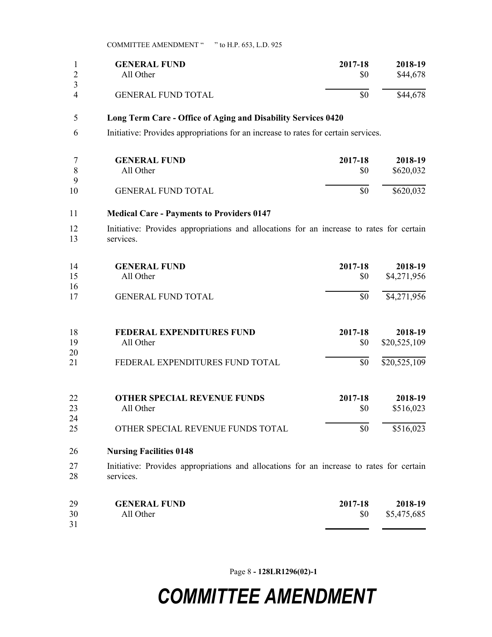|          | <b>GENERAL FUND</b>       | 2017-18 | 2018-19  |
|----------|---------------------------|---------|----------|
|          | All Other                 | SO.     | \$44,678 |
| $\Delta$ | <b>GENERAL FUND TOTAL</b> | \$0     | \$44,678 |

#### **Long Term Care - Office of Aging and Disability Services 0420**

Initiative: Provides appropriations for an increase to rates for certain services.

|    | <b>GENERAL FUND</b>       | 2017-18 | 2018-19   |
|----|---------------------------|---------|-----------|
|    | All Other                 | \$0     | \$620,032 |
| Q  |                           |         |           |
| 10 | <b>GENERAL FUND TOTAL</b> |         | \$620,032 |

### **Medical Care - Payments to Providers 0147**

 Initiative: Provides appropriations and allocations for an increase to rates for certain services.

| 14<br>15 | <b>GENERAL FUND</b><br>All Other | 2017-18<br>\$0 | 2018-19<br>\$4,271,956 |
|----------|----------------------------------|----------------|------------------------|
| 16       |                                  |                |                        |
| 17       | <b>GENERAL FUND TOTAL</b>        | \$0            | \$4,271,956            |
| 18       | <b>FEDERAL EXPENDITURES FUND</b> | 2017-18        | 2018-19                |
| 19       | All Other                        | \$0            | \$20,525,109           |
| 20       |                                  |                |                        |
| 21       | FEDERAL EXPENDITURES FUND TOTAL  | \$0            | \$20,525,109           |

| 22 | <b>OTHER SPECIAL REVENUE FUNDS</b> | 2017-18 | 2018-19   |
|----|------------------------------------|---------|-----------|
| 23 | All Other                          |         | \$516,023 |
| 24 |                                    |         |           |
| 25 | OTHER SPECIAL REVENUE FUNDS TOTAL  | \$0     | \$516,023 |

#### **Nursing Facilities 0148**

 Initiative: Provides appropriations and allocations for an increase to rates for certain services.

| 29 | <b>GENERAL FUND</b> | 2017-18   | 2018-19     |
|----|---------------------|-----------|-------------|
| 30 | All Other           | <b>SO</b> | \$5,475,685 |
| 31 |                     |           |             |

Page 8 **- 128LR1296(02)-1**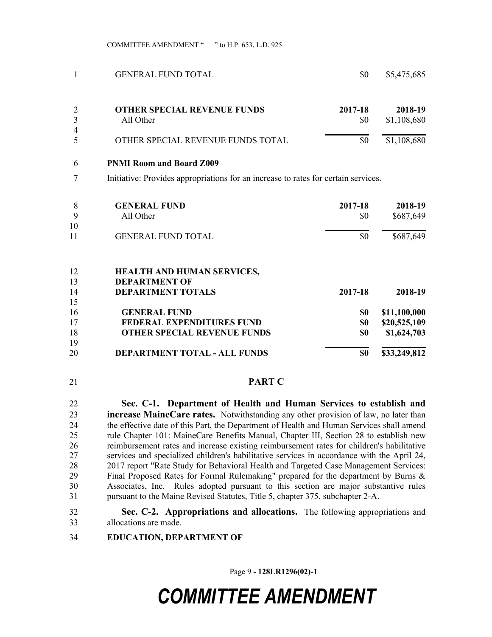| <b>GENERAL FUND TOTAL</b>          | \$0                                           | \$5,475,685                                                                                                 |
|------------------------------------|-----------------------------------------------|-------------------------------------------------------------------------------------------------------------|
| <b>OTHER SPECIAL REVENUE FUNDS</b> | 2017-18                                       | 2018-19<br>\$1,108,680                                                                                      |
|                                    |                                               |                                                                                                             |
| OTHER SPECIAL REVENUE FUNDS TOTAL  | \$0                                           | \$1,108,680                                                                                                 |
| <b>PNMI Room and Board Z009</b>    |                                               |                                                                                                             |
|                                    |                                               |                                                                                                             |
|                                    |                                               | 2018-19                                                                                                     |
|                                    |                                               | \$687,649                                                                                                   |
|                                    |                                               |                                                                                                             |
|                                    | \$0                                           | \$687,649                                                                                                   |
|                                    | All Other<br><b>GENERAL FUND</b><br>All Other | \$0<br>Initiative: Provides appropriations for an increase to rates for certain services.<br>2017-18<br>\$0 |

| 12<br>13 | <b>HEALTH AND HUMAN SERVICES,</b><br><b>DEPARTMENT OF</b> |         |              |
|----------|-----------------------------------------------------------|---------|--------------|
| 14       | <b>DEPARTMENT TOTALS</b>                                  | 2017-18 | 2018-19      |
| 15       |                                                           |         |              |
| 16       | <b>GENERAL FUND</b>                                       | \$0     | \$11,100,000 |
| 17       | <b>FEDERAL EXPENDITURES FUND</b>                          | \$0     | \$20,525,109 |
| 18       | <b>OTHER SPECIAL REVENUE FUNDS</b>                        | \$0     | \$1,624,703  |
| 19       |                                                           |         |              |
| 20       | DEPARTMENT TOTAL - ALL FUNDS                              | \$0     | \$33,249,812 |

#### **PART C**

 **Sec. C-1. Department of Health and Human Services to establish and increase MaineCare rates.** Notwithstanding any other provision of law, no later than the effective date of this Part, the Department of Health and Human Services shall amend rule Chapter 101: MaineCare Benefits Manual, Chapter III, Section 28 to establish new reimbursement rates and increase existing reimbursement rates for children's habilitative services and specialized children's habilitative services in accordance with the April 24, 2017 report "Rate Study for Behavioral Health and Targeted Case Management Services: Final Proposed Rates for Formal Rulemaking" prepared for the department by Burns & Associates, Inc. Rules adopted pursuant to this section are major substantive rules pursuant to the Maine Revised Statutes, Title 5, chapter 375, subchapter 2-A.

- **Sec. C-2. Appropriations and allocations.** The following appropriations and allocations are made.
- **EDUCATION, DEPARTMENT OF**

Page 9 **- 128LR1296(02)-1**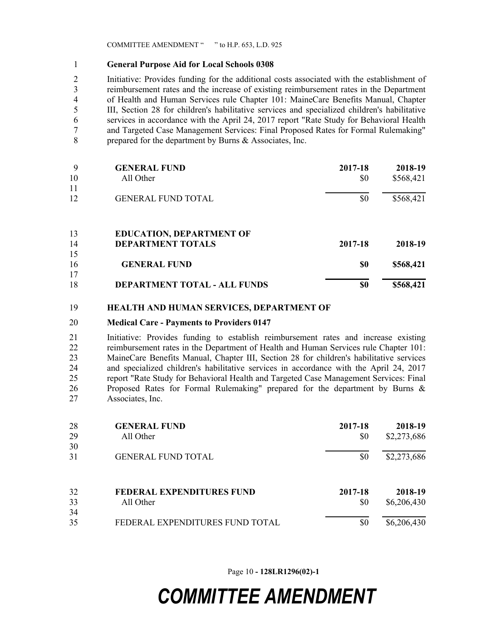#### **General Purpose Aid for Local Schools 0308**

 Initiative: Provides funding for the additional costs associated with the establishment of reimbursement rates and the increase of existing reimbursement rates in the Department of Health and Human Services rule Chapter 101: MaineCare Benefits Manual, Chapter III, Section 28 for children's habilitative services and specialized children's habilitative services in accordance with the April 24, 2017 report "Rate Study for Behavioral Health and Targeted Case Management Services: Final Proposed Rates for Formal Rulemaking" prepared for the department by Burns & Associates, Inc.

| 9  | <b>GENERAL FUND</b>             | 2017-18 | 2018-19   |
|----|---------------------------------|---------|-----------|
| 10 | All Other                       | \$0     | \$568,421 |
| 11 |                                 |         |           |
| 12 | <b>GENERAL FUND TOTAL</b>       | \$0     | \$568,421 |
| 13 | <b>EDUCATION, DEPARTMENT OF</b> |         |           |
| 14 | <b>DEPARTMENT TOTALS</b>        | 2017-18 | 2018-19   |
| 15 |                                 |         |           |
| 16 | <b>GENERAL FUND</b>             | \$0     | \$568,421 |
| 17 |                                 |         |           |
| 18 | DEPARTMENT TOTAL - ALL FUNDS    | \$0     | \$568,421 |

#### **HEALTH AND HUMAN SERVICES, DEPARTMENT OF**

#### **Medical Care - Payments to Providers 0147**

 Initiative: Provides funding to establish reimbursement rates and increase existing reimbursement rates in the Department of Health and Human Services rule Chapter 101: MaineCare Benefits Manual, Chapter III, Section 28 for children's habilitative services and specialized children's habilitative services in accordance with the April 24, 2017 report "Rate Study for Behavioral Health and Targeted Case Management Services: Final Proposed Rates for Formal Rulemaking" prepared for the department by Burns & Associates, Inc.

| 28<br>29 | <b>GENERAL FUND</b><br>All Other | 2017-18<br>\$0 | 2018-19<br>\$2,273,686 |
|----------|----------------------------------|----------------|------------------------|
| 30<br>31 | <b>GENERAL FUND TOTAL</b>        | \$0            | \$2,273,686            |
| 32       | <b>FEDERAL EXPENDITURES FUND</b> | 2017-18        | 2018-19                |
| 33       | All Other                        | \$0            | \$6,206,430            |
| 34<br>35 | FEDERAL EXPENDITURES FUND TOTAL  | \$0            | \$6,206,430            |

Page 10 **- 128LR1296(02)-1**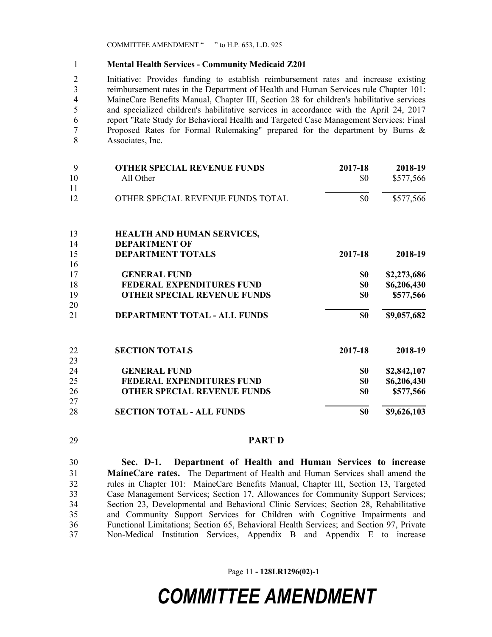#### **Mental Health Services - Community Medicaid Z201**

 Initiative: Provides funding to establish reimbursement rates and increase existing reimbursement rates in the Department of Health and Human Services rule Chapter 101: MaineCare Benefits Manual, Chapter III, Section 28 for children's habilitative services and specialized children's habilitative services in accordance with the April 24, 2017 report "Rate Study for Behavioral Health and Targeted Case Management Services: Final Proposed Rates for Formal Rulemaking" prepared for the department by Burns & Associates, Inc.

| 9  | <b>OTHER SPECIAL REVENUE FUNDS</b>  | 2017-18 | 2018-19     |
|----|-------------------------------------|---------|-------------|
| 10 | All Other                           | \$0     | \$577,566   |
| 11 |                                     |         |             |
| 12 | OTHER SPECIAL REVENUE FUNDS TOTAL   | \$0     | \$577,566   |
| 13 | <b>HEALTH AND HUMAN SERVICES,</b>   |         |             |
| 14 | <b>DEPARTMENT OF</b>                |         |             |
| 15 | <b>DEPARTMENT TOTALS</b>            | 2017-18 | 2018-19     |
| 16 |                                     |         |             |
| 17 | <b>GENERAL FUND</b>                 | \$0     | \$2,273,686 |
| 18 | FEDERAL EXPENDITURES FUND           | \$0     | \$6,206,430 |
| 19 | <b>OTHER SPECIAL REVENUE FUNDS</b>  | \$0     | \$577,566   |
| 20 |                                     |         |             |
| 21 | <b>DEPARTMENT TOTAL - ALL FUNDS</b> | \$0     | \$9,057,682 |
| 22 | <b>SECTION TOTALS</b>               | 2017-18 | 2018-19     |
| 23 |                                     |         |             |
| 24 | <b>GENERAL FUND</b>                 | \$0     | \$2,842,107 |
| 25 | FEDERAL EXPENDITURES FUND           | \$0     | \$6,206,430 |
| 26 | <b>OTHER SPECIAL REVENUE FUNDS</b>  | \$0     | \$577,566   |
| 27 |                                     |         |             |
| 28 | <b>SECTION TOTAL - ALL FUNDS</b>    | \$0     | \$9,626,103 |

#### **PART D**

 **Sec. D-1. Department of Health and Human Services to increase MaineCare rates.** The Department of Health and Human Services shall amend the rules in Chapter 101: MaineCare Benefits Manual, Chapter III, Section 13, Targeted Case Management Services; Section 17, Allowances for Community Support Services; Section 23, Developmental and Behavioral Clinic Services; Section 28, Rehabilitative and Community Support Services for Children with Cognitive Impairments and Functional Limitations; Section 65, Behavioral Health Services; and Section 97, Private Non-Medical Institution Services, Appendix B and Appendix E to increase

Page 11 **- 128LR1296(02)-1**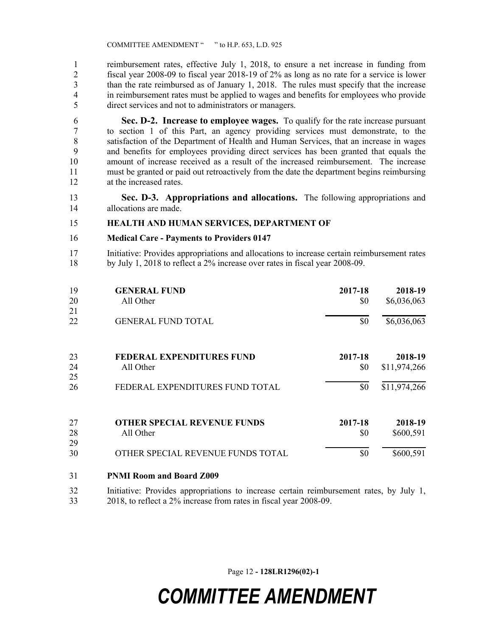reimbursement rates, effective July 1, 2018, to ensure a net increase in funding from fiscal year 2008-09 to fiscal year 2018-19 of 2% as long as no rate for a service is lower than the rate reimbursed as of January 1, 2018. The rules must specify that the increase in reimbursement rates must be applied to wages and benefits for employees who provide direct services and not to administrators or managers.

 **Sec. D-2. Increase to employee wages.** To qualify for the rate increase pursuant to section 1 of this Part, an agency providing services must demonstrate, to the satisfaction of the Department of Health and Human Services, that an increase in wages and benefits for employees providing direct services has been granted that equals the amount of increase received as a result of the increased reimbursement. The increase must be granted or paid out retroactively from the date the department begins reimbursing at the increased rates.

 **Sec. D-3. Appropriations and allocations.** The following appropriations and allocations are made.

#### **HEALTH AND HUMAN SERVICES, DEPARTMENT OF**

#### **Medical Care - Payments to Providers 0147**

 Initiative: Provides appropriations and allocations to increase certain reimbursement rates by July 1, 2018 to reflect a 2% increase over rates in fiscal year 2008-09.

| 19<br>20<br>21 | <b>GENERAL FUND</b><br>All Other   | 2017-18<br>\$0 | 2018-19<br>\$6,036,063 |
|----------------|------------------------------------|----------------|------------------------|
| 22             | <b>GENERAL FUND TOTAL</b>          | \$0            | \$6,036,063            |
| 23             | <b>FEDERAL EXPENDITURES FUND</b>   | 2017-18        | 2018-19                |
| 24             | All Other                          | \$0            | \$11,974,266           |
| 25<br>26       | FEDERAL EXPENDITURES FUND TOTAL    | \$0            | \$11,974,266           |
| 27             | <b>OTHER SPECIAL REVENUE FUNDS</b> | 2017-18        | 2018-19                |
| 28             | All Other                          | \$0            | \$600,591              |
| 29<br>30       | OTHER SPECIAL REVENUE FUNDS TOTAL  | \$0            | \$600,591              |

- **PNMI Room and Board Z009**
- Initiative: Provides appropriations to increase certain reimbursement rates, by July 1, 2018, to reflect a 2% increase from rates in fiscal year 2008-09.

Page 12 **- 128LR1296(02)-1**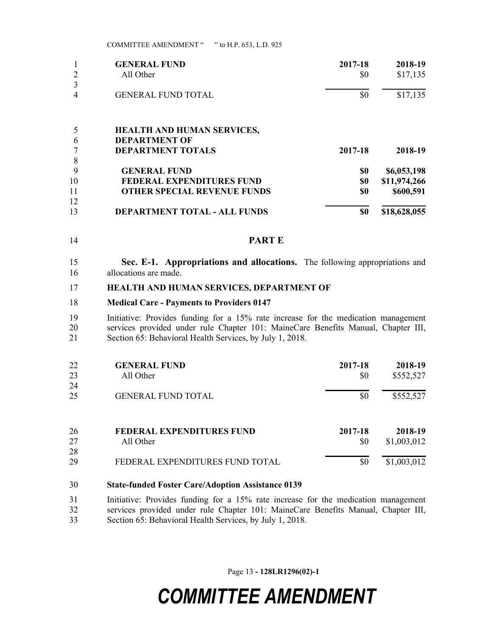|    | <b>GENERAL FUND</b>                 | 2017-18 | 2018-19      |
|----|-------------------------------------|---------|--------------|
|    | All Other                           | \$0     | \$17,135     |
| 3  |                                     |         |              |
| 4  | <b>GENERAL FUND TOTAL</b>           | \$0     | \$17,135     |
|    | <b>HEALTH AND HUMAN SERVICES,</b>   |         |              |
| 6  | <b>DEPARTMENT OF</b>                |         |              |
|    | <b>DEPARTMENT TOTALS</b>            | 2017-18 | 2018-19      |
| 8  |                                     |         |              |
| 9  | <b>GENERAL FUND</b>                 | \$0     | \$6,053,198  |
| 10 | FEDERAL EXPENDITURES FUND           | \$0     | \$11,974,266 |
| 11 | <b>OTHER SPECIAL REVENUE FUNDS</b>  | \$0     | \$600,591    |
| 12 |                                     |         |              |
| 13 | <b>DEPARTMENT TOTAL - ALL FUNDS</b> | \$0     | \$18,628,055 |

- **PART E**
- **Sec. E-1. Appropriations and allocations.** The following appropriations and allocations are made.

#### **HEALTH AND HUMAN SERVICES, DEPARTMENT OF**

#### **Medical Care - Payments to Providers 0147**

 Initiative: Provides funding for a 15% rate increase for the medication management services provided under rule Chapter 101: MaineCare Benefits Manual, Chapter III, 21 Section 65: Behavioral Health Services, by July 1, 2018.

| 22<br>23<br>24 | <b>GENERAL FUND</b><br>All Other | 2017-18<br>\$0 | 2018-19<br>\$552,527 |
|----------------|----------------------------------|----------------|----------------------|
| 25             | <b>GENERAL FUND TOTAL</b>        | \$0            | \$552,527            |
| 26             | FEDERAL EXPENDITURES FUND        | 2017-18        | 2018-19              |
| 27             | All Other                        | \$0            | \$1,003,012          |
| 28             |                                  |                |                      |
| 29             | FEDERAL EXPENDITURES FUND TOTAL  | \$0            | \$1,003,012          |

- **State-funded Foster Care/Adoption Assistance 0139**
- Initiative: Provides funding for a 15% rate increase for the medication management services provided under rule Chapter 101: MaineCare Benefits Manual, Chapter III, Section 65: Behavioral Health Services, by July 1, 2018.

Page 13 **- 128LR1296(02)-1**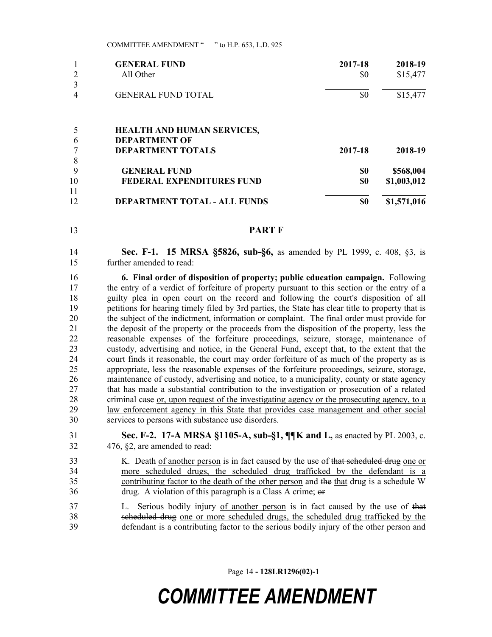|    | <b>GENERAL FUND</b>               | 2017-18 | 2018-19     |
|----|-----------------------------------|---------|-------------|
|    | All Other                         | \$0     | \$15,477    |
|    |                                   |         |             |
| 4  | <b>GENERAL FUND TOTAL</b>         | \$0     | \$15,477    |
|    |                                   |         |             |
|    | <b>HEALTH AND HUMAN SERVICES,</b> |         |             |
| 6  | <b>DEPARTMENT OF</b>              |         |             |
|    | <b>DEPARTMENT TOTALS</b>          | 2017-18 | 2018-19     |
| 8  |                                   |         |             |
| 9  | <b>GENERAL FUND</b>               | \$0     | \$568,004   |
| 10 | <b>FEDERAL EXPENDITURES FUND</b>  | \$0     | \$1,003,012 |
| 11 |                                   |         |             |
| 12 | DEPARTMENT TOTAL - ALL FUNDS      | \$0     | \$1,571,016 |

**PART F**

 **Sec. F-1. 15 MRSA §5826, sub-§6,** as amended by PL 1999, c. 408, §3, is further amended to read:

 **6. Final order of disposition of property; public education campaign.** Following the entry of a verdict of forfeiture of property pursuant to this section or the entry of a guilty plea in open court on the record and following the court's disposition of all petitions for hearing timely filed by 3rd parties, the State has clear title to property that is the subject of the indictment, information or complaint. The final order must provide for the deposit of the property or the proceeds from the disposition of the property, less the reasonable expenses of the forfeiture proceedings, seizure, storage, maintenance of custody, advertising and notice, in the General Fund, except that, to the extent that the court finds it reasonable, the court may order forfeiture of as much of the property as is appropriate, less the reasonable expenses of the forfeiture proceedings, seizure, storage, maintenance of custody, advertising and notice, to a municipality, county or state agency that has made a substantial contribution to the investigation or prosecution of a related criminal case or, upon request of the investigating agency or the prosecuting agency, to a law enforcement agency in this State that provides case management and other social services to persons with substance use disorders.

 **Sec. F-2. 17-A MRSA §1105-A, sub-§1, ¶¶K and L,** as enacted by PL 2003, c. 476, §2, are amended to read:

- 33 K. Death of another person is in fact caused by the use of that scheduled drug one or more scheduled drugs, the scheduled drug trafficked by the defendant is a contributing factor to the death of the other person and the that drug is a schedule W drug. A violation of this paragraph is a Class A crime; or
- 37 L. Serious bodily injury of another person is in fact caused by the use of that scheduled drug one or more scheduled drugs, the scheduled drug trafficked by the defendant is a contributing factor to the serious bodily injury of the other person and

Page 14 **- 128LR1296(02)-1**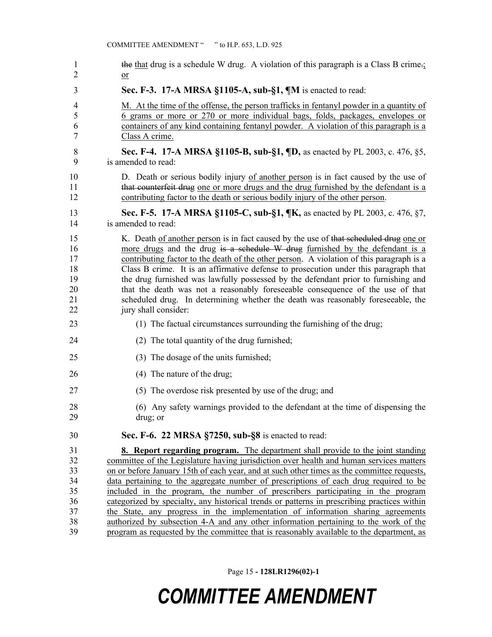| $\mathbf{1}$   | the that drug is a schedule W drug. A violation of this paragraph is a Class B crime.       |
|----------------|---------------------------------------------------------------------------------------------|
| $\overline{2}$ | $\underline{\text{or}}$                                                                     |
| 3              | Sec. F-3. 17-A MRSA §1105-A, sub-§1, ¶M is enacted to read:                                 |
| 4              | M. At the time of the offense, the person trafficks in fentanyl powder in a quantity of     |
| 5              | 6 grams or more or 270 or more individual bags, folds, packages, envelopes or               |
| 6              | containers of any kind containing fentanyl powder. A violation of this paragraph is a       |
| 7              | Class A crime.                                                                              |
| 8              | Sec. F-4. 17-A MRSA §1105-B, sub-§1, ¶D, as enacted by PL 2003, c. 476, §5,                 |
| 9              | is amended to read:                                                                         |
| 10             | D. Death or serious bodily injury of another person is in fact caused by the use of         |
| 11             | that counterfeit drug one or more drugs and the drug furnished by the defendant is a        |
| 12             | contributing factor to the death or serious bodily injury of the other person.              |
| 13             | <b>Sec. F-5. 17-A MRSA §1105-C, sub-§1, ¶K, as enacted by PL 2003, c. 476, §7,</b>          |
| 14             | is amended to read:                                                                         |
| 15             | K. Death of another person is in fact caused by the use of that seheduled drug one or       |
| 16             | more drugs and the drug is a schedule W drug furnished by the defendant is a                |
| 17             | contributing factor to the death of the other person. A violation of this paragraph is a    |
| 18             | Class B crime. It is an affirmative defense to prosecution under this paragraph that        |
| 19             | the drug furnished was lawfully possessed by the defendant prior to furnishing and          |
| 20             | that the death was not a reasonably foreseeable consequence of the use of that              |
| 21             | scheduled drug. In determining whether the death was reasonably foreseeable, the            |
| 22             | jury shall consider:                                                                        |
| 23             | (1) The factual circumstances surrounding the furnishing of the drug;                       |
| 24             | (2) The total quantity of the drug furnished;                                               |
| 25             | (3) The dosage of the units furnished;                                                      |
| 26             | (4) The nature of the drug;                                                                 |
| 27             | (5) The overdose risk presented by use of the drug; and                                     |
| 28             | (6) Any safety warnings provided to the defendant at the time of dispensing the             |
| 29             | drug; or                                                                                    |
| 30             | Sec. F-6. 22 MRSA §7250, sub-§8 is enacted to read:                                         |
| 31             | <b>8. Report regarding program.</b> The department shall provide to the joint standing      |
| 32             | committee of the Legislature having jurisdiction over health and human services matters     |
| 33             | on or before January 15th of each year, and at such other times as the committee requests,  |
| 34             | data pertaining to the aggregate number of prescriptions of each drug required to be        |
| 35             | included in the program, the number of prescribers participating in the program             |
| 36             | categorized by specialty, any historical trends or patterns in prescribing practices within |
| 37             | the State, any progress in the implementation of information sharing agreements             |
| 38             | authorized by subsection 4-A and any other information pertaining to the work of the        |

program as requested by the committee that is reasonably available to the department, as

Page 15 **- 128LR1296(02)-1**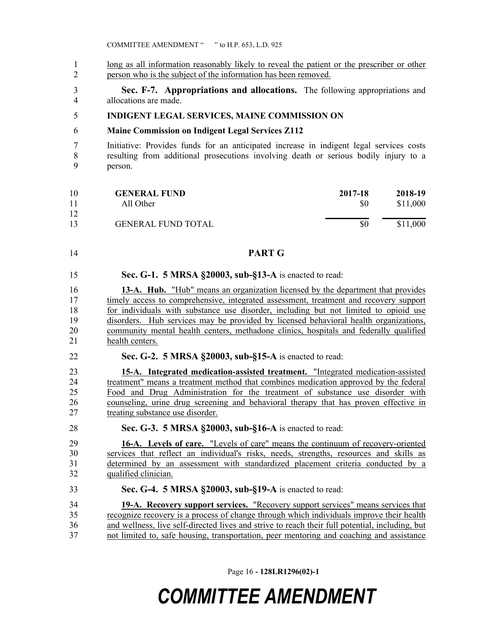1 long as all information reasonably likely to reveal the patient or the prescriber or other person who is the subject of the information has been removed.

 **Sec. F-7. Appropriations and allocations.** The following appropriations and allocations are made.

#### **INDIGENT LEGAL SERVICES, MAINE COMMISSION ON**

#### **Maine Commission on Indigent Legal Services Z112**

 Initiative: Provides funds for an anticipated increase in indigent legal services costs resulting from additional prosecutions involving death or serious bodily injury to a person.

| 10 | <b>GENERAL FUND</b>       | 2017-18 | 2018-19  |
|----|---------------------------|---------|----------|
| 11 | All Other                 | \$0     | \$11,000 |
| 12 |                           |         |          |
| 13 | <b>GENERAL FUND TOTAL</b> | \$0     | \$11,000 |

#### **PART G**

**Sec. G-1. 5 MRSA §20003, sub-§13-A** is enacted to read:

 **13-A. Hub.** "Hub" means an organization licensed by the department that provides timely access to comprehensive, integrated assessment, treatment and recovery support for individuals with substance use disorder, including but not limited to opioid use disorders. Hub services may be provided by licensed behavioral health organizations, community mental health centers, methadone clinics, hospitals and federally qualified health centers.

**Sec. G-2. 5 MRSA §20003, sub-§15-A** is enacted to read:

 **15-A. Integrated medication-assisted treatment.** "Integrated medication-assisted treatment" means a treatment method that combines medication approved by the federal Food and Drug Administration for the treatment of substance use disorder with counseling, urine drug screening and behavioral therapy that has proven effective in treating substance use disorder.

**Sec. G-3. 5 MRSA §20003, sub-§16-A** is enacted to read:

 **16-A. Levels of care.** "Levels of care" means the continuum of recovery-oriented services that reflect an individual's risks, needs, strengths, resources and skills as determined by an assessment with standardized placement criteria conducted by a qualified clinician.

**Sec. G-4. 5 MRSA §20003, sub-§19-A** is enacted to read:

 **19-A. Recovery support services.** "Recovery support services" means services that recognize recovery is a process of change through which individuals improve their health and wellness, live self-directed lives and strive to reach their full potential, including, but not limited to, safe housing, transportation, peer mentoring and coaching and assistance

Page 16 **- 128LR1296(02)-1**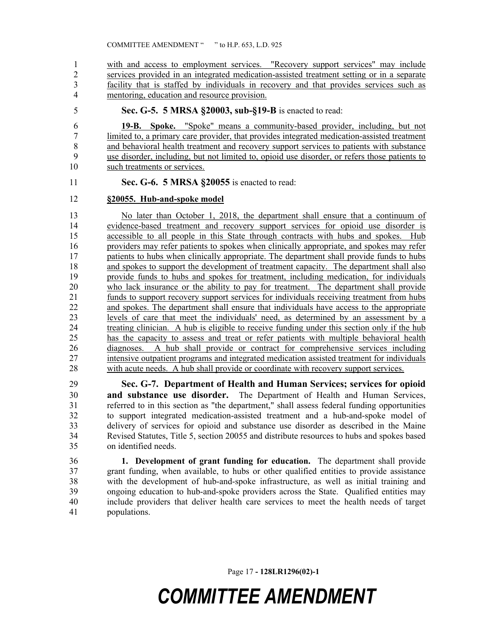with and access to employment services. "Recovery support services" may include services provided in an integrated medication-assisted treatment setting or in a separate facility that is staffed by individuals in recovery and that provides services such as mentoring, education and resource provision.

**Sec. G-5. 5 MRSA §20003, sub-§19-B** is enacted to read:

 **19-B. Spoke.** "Spoke" means a community-based provider, including, but not 7 limited to, a primary care provider, that provides integrated medication-assisted treatment<br>8 and behavioral health treatment and recovery support services to patients with substance and behavioral health treatment and recovery support services to patients with substance use disorder, including, but not limited to, opioid use disorder, or refers those patients to such treatments or services.

#### **Sec. G-6. 5 MRSA §20055** is enacted to read:

#### **§20055. Hub-and-spoke model**

 No later than October 1, 2018, the department shall ensure that a continuum of evidence-based treatment and recovery support services for opioid use disorder is accessible to all people in this State through contracts with hubs and spokes. Hub providers may refer patients to spokes when clinically appropriate, and spokes may refer 17 patients to hubs when clinically appropriate. The department shall provide funds to hubs and spokes to support the development of treatment capacity. The department shall also provide funds to hubs and spokes for treatment, including medication, for individuals who lack insurance or the ability to pay for treatment. The department shall provide funds to support recovery support services for individuals receiving treatment from hubs and spokes. The department shall ensure that individuals have access to the appropriate levels of care that meet the individuals' need, as determined by an assessment by a treating clinician. A hub is eligible to receive funding under this section only if the hub has the capacity to assess and treat or refer patients with multiple behavioral health diagnoses. A hub shall provide or contract for comprehensive services including intensive outpatient programs and integrated medication assisted treatment for individuals with acute needs. A hub shall provide or coordinate with recovery support services.

 **Sec. G-7. Department of Health and Human Services; services for opioid and substance use disorder.** The Department of Health and Human Services, referred to in this section as "the department," shall assess federal funding opportunities to support integrated medication-assisted treatment and a hub-and-spoke model of delivery of services for opioid and substance use disorder as described in the Maine Revised Statutes, Title 5, section 20055 and distribute resources to hubs and spokes based on identified needs.

 **1. Development of grant funding for education.** The department shall provide grant funding, when available, to hubs or other qualified entities to provide assistance with the development of hub-and-spoke infrastructure, as well as initial training and ongoing education to hub-and-spoke providers across the State. Qualified entities may include providers that deliver health care services to meet the health needs of target populations.

Page 17 **- 128LR1296(02)-1**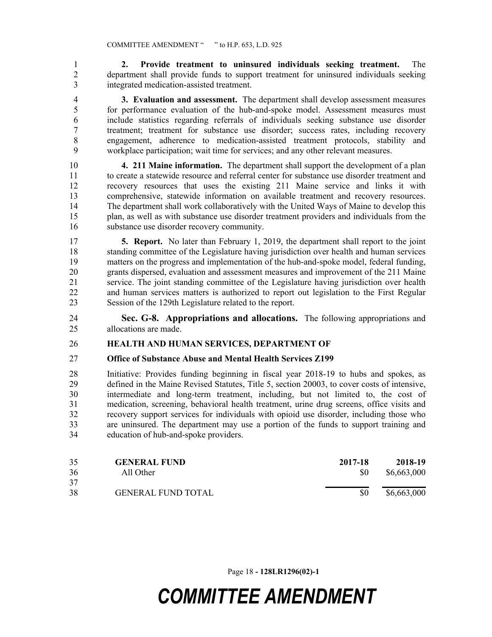**2. Provide treatment to uninsured individuals seeking treatment.** The department shall provide funds to support treatment for uninsured individuals seeking integrated medication-assisted treatment.

 **3. Evaluation and assessment.** The department shall develop assessment measures for performance evaluation of the hub-and-spoke model. Assessment measures must include statistics regarding referrals of individuals seeking substance use disorder treatment; treatment for substance use disorder; success rates, including recovery engagement, adherence to medication-assisted treatment protocols, stability and workplace participation; wait time for services; and any other relevant measures.

 **4. 211 Maine information.** The department shall support the development of a plan to create a statewide resource and referral center for substance use disorder treatment and recovery resources that uses the existing 211 Maine service and links it with comprehensive, statewide information on available treatment and recovery resources. The department shall work collaboratively with the United Ways of Maine to develop this plan, as well as with substance use disorder treatment providers and individuals from the substance use disorder recovery community.

 **5. Report.** No later than February 1, 2019, the department shall report to the joint standing committee of the Legislature having jurisdiction over health and human services matters on the progress and implementation of the hub-and-spoke model, federal funding, grants dispersed, evaluation and assessment measures and improvement of the 211 Maine service. The joint standing committee of the Legislature having jurisdiction over health and human services matters is authorized to report out legislation to the First Regular Session of the 129th Legislature related to the report.

 **Sec. G-8. Appropriations and allocations.** The following appropriations and allocations are made.

#### **HEALTH AND HUMAN SERVICES, DEPARTMENT OF**

#### **Office of Substance Abuse and Mental Health Services Z199**

 Initiative: Provides funding beginning in fiscal year 2018-19 to hubs and spokes, as defined in the Maine Revised Statutes, Title 5, section 20003, to cover costs of intensive, intermediate and long-term treatment, including, but not limited to, the cost of medication, screening, behavioral health treatment, urine drug screens, office visits and recovery support services for individuals with opioid use disorder, including those who are uninsured. The department may use a portion of the funds to support training and education of hub-and-spoke providers.

| 35 | <b>GENERAL FUND</b>       | 2017-18 | 2018-19     |
|----|---------------------------|---------|-------------|
| 36 | All Other                 | \$0     | \$6,663,000 |
| 37 |                           |         |             |
| 38 | <b>GENERAL FUND TOTAL</b> | \$0     | \$6,663,000 |

Page 18 **- 128LR1296(02)-1**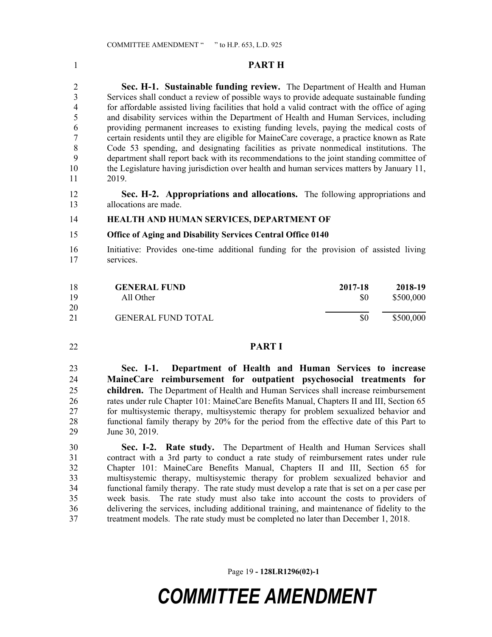#### **PART H**

 **Sec. H-1. Sustainable funding review.** The Department of Health and Human Services shall conduct a review of possible ways to provide adequate sustainable funding for affordable assisted living facilities that hold a valid contract with the office of aging and disability services within the Department of Health and Human Services, including providing permanent increases to existing funding levels, paying the medical costs of certain residents until they are eligible for MaineCare coverage, a practice known as Rate Code 53 spending, and designating facilities as private nonmedical institutions. The department shall report back with its recommendations to the joint standing committee of the Legislature having jurisdiction over health and human services matters by January 11, 2019.

 **Sec. H-2. Appropriations and allocations.** The following appropriations and allocations are made.

#### **HEALTH AND HUMAN SERVICES, DEPARTMENT OF**

#### **Office of Aging and Disability Services Central Office 0140**

 Initiative: Provides one-time additional funding for the provision of assisted living services.

| 18       | <b>GENERAL FUND</b>       | 2017-18 | 2018-19   |
|----------|---------------------------|---------|-----------|
| 19<br>20 | All Other                 | \$0     | \$500,000 |
| 21       | <b>GENERAL FUND TOTAL</b> | \$0     | \$500,000 |

#### **PART I**

 **Sec. I-1. Department of Health and Human Services to increase MaineCare reimbursement for outpatient psychosocial treatments for children.** The Department of Health and Human Services shall increase reimbursement rates under rule Chapter 101: MaineCare Benefits Manual, Chapters II and III, Section 65 for multisystemic therapy, multisystemic therapy for problem sexualized behavior and functional family therapy by 20% for the period from the effective date of this Part to June 30, 2019.

 **Sec. I-2. Rate study.** The Department of Health and Human Services shall contract with a 3rd party to conduct a rate study of reimbursement rates under rule Chapter 101: MaineCare Benefits Manual, Chapters II and III, Section 65 for multisystemic therapy, multisystemic therapy for problem sexualized behavior and functional family therapy. The rate study must develop a rate that is set on a per case per week basis. The rate study must also take into account the costs to providers of delivering the services, including additional training, and maintenance of fidelity to the treatment models. The rate study must be completed no later than December 1, 2018.

Page 19 **- 128LR1296(02)-1**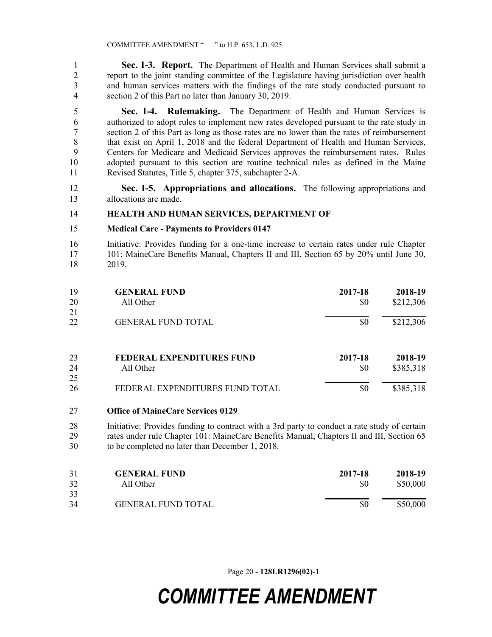**Sec. I-3. Report.** The Department of Health and Human Services shall submit a report to the joint standing committee of the Legislature having jurisdiction over health and human services matters with the findings of the rate study conducted pursuant to section 2 of this Part no later than January 30, 2019.

 **Sec. I-4. Rulemaking.** The Department of Health and Human Services is authorized to adopt rules to implement new rates developed pursuant to the rate study in section 2 of this Part as long as those rates are no lower than the rates of reimbursement that exist on April 1, 2018 and the federal Department of Health and Human Services, Centers for Medicare and Medicaid Services approves the reimbursement rates. Rules adopted pursuant to this section are routine technical rules as defined in the Maine Revised Statutes, Title 5, chapter 375, subchapter 2-A.

 **Sec. I-5. Appropriations and allocations.** The following appropriations and allocations are made.

#### **HEALTH AND HUMAN SERVICES, DEPARTMENT OF**

#### **Medical Care - Payments to Providers 0147**

 Initiative: Provides funding for a one-time increase to certain rates under rule Chapter 101: MaineCare Benefits Manual, Chapters II and III, Section 65 by 20% until June 30, 2019.

| 19<br>20<br>21 | <b>GENERAL FUND</b><br>All Other | 2017-18<br>\$0 | 2018-19<br>\$212,306 |
|----------------|----------------------------------|----------------|----------------------|
| 22             | <b>GENERAL FUND TOTAL</b>        | \$0            | \$212,306            |
| 23             | <b>FEDERAL EXPENDITURES FUND</b> | 2017-18        | 2018-19              |
| 24             | All Other                        | \$0            | \$385,318            |
| 25             |                                  |                |                      |
| 26             | FEDERAL EXPENDITURES FUND TOTAL  | \$0            | \$385,318            |

#### **Office of MaineCare Services 0129**

 Initiative: Provides funding to contract with a 3rd party to conduct a rate study of certain rates under rule Chapter 101: MaineCare Benefits Manual, Chapters II and III, Section 65 to be completed no later than December 1, 2018.

| 31 | <b>GENERAL FUND</b>       | 2017-18 | 2018-19  |
|----|---------------------------|---------|----------|
| 32 | All Other                 | \$0     | \$50,000 |
| 33 |                           |         |          |
| 34 | <b>GENERAL FUND TOTAL</b> | \$0     | \$50,000 |

Page 20 **- 128LR1296(02)-1**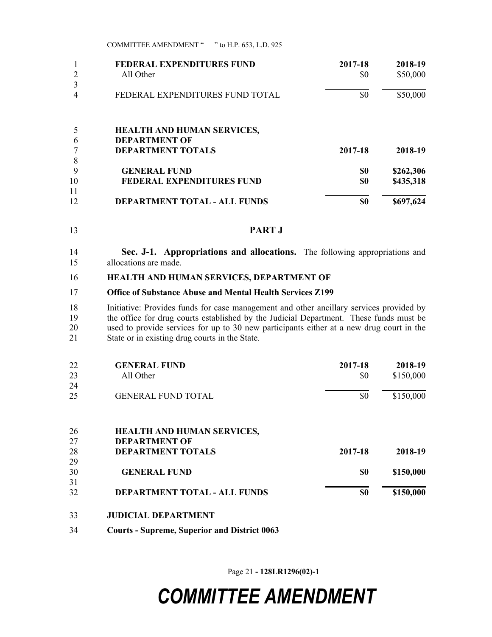| <b>COMMITTEE AMENDMENT</b> " | " to H.P. 653, L.D. 925 |  |  |  |
|------------------------------|-------------------------|--|--|--|
|------------------------------|-------------------------|--|--|--|

|    | <b>FEDERAL EXPENDITURES FUND</b>    | 2017-18 | 2018-19   |
|----|-------------------------------------|---------|-----------|
|    | All Other                           | \$0     | \$50,000  |
|    |                                     |         |           |
|    | FEDERAL EXPENDITURES FUND TOTAL     | \$0     | \$50,000  |
|    |                                     |         |           |
|    | <b>HEALTH AND HUMAN SERVICES,</b>   |         |           |
| 6  | <b>DEPARTMENT OF</b>                |         |           |
|    | <b>DEPARTMENT TOTALS</b>            | 2017-18 | 2018-19   |
| 8  |                                     |         |           |
| 9  | <b>GENERAL FUND</b>                 | \$0     | \$262,306 |
| 10 | <b>FEDERAL EXPENDITURES FUND</b>    | \$0     | \$435,318 |
| 11 |                                     |         |           |
| 12 | <b>DEPARTMENT TOTAL - ALL FUNDS</b> | \$0     | \$697,624 |

**PART J**

 **Sec. J-1. Appropriations and allocations.** The following appropriations and allocations are made.

#### **HEALTH AND HUMAN SERVICES, DEPARTMENT OF**

#### **Office of Substance Abuse and Mental Health Services Z199**

 Initiative: Provides funds for case management and other ancillary services provided by 19 the office for drug courts established by the Judicial Department. These funds must be used to provide services for up to 30 new participants either at a new drug court in the State or in existing drug courts in the State.

| 22 | <b>GENERAL FUND</b>                 | 2017-18 | 2018-19   |
|----|-------------------------------------|---------|-----------|
| 23 | All Other                           | \$0     | \$150,000 |
| 24 |                                     |         |           |
| 25 | <b>GENERAL FUND TOTAL</b>           | \$0     | \$150,000 |
| 26 | <b>HEALTH AND HUMAN SERVICES,</b>   |         |           |
| 27 | <b>DEPARTMENT OF</b>                |         |           |
| 28 | <b>DEPARTMENT TOTALS</b>            | 2017-18 | 2018-19   |
| 29 |                                     |         |           |
| 30 | <b>GENERAL FUND</b>                 | \$0     | \$150,000 |
| 31 |                                     |         |           |
| 32 | <b>DEPARTMENT TOTAL - ALL FUNDS</b> | \$0     | \$150,000 |
|    |                                     |         |           |

#### **JUDICIAL DEPARTMENT**

**Courts - Supreme, Superior and District 0063**

Page 21 **- 128LR1296(02)-1**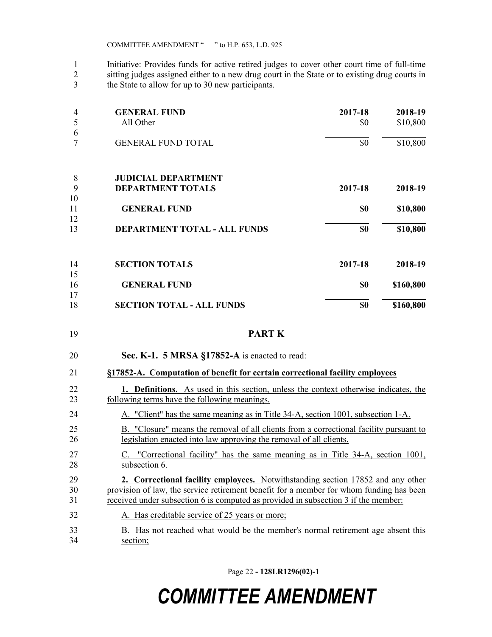Initiative: Provides funds for active retired judges to cover other court time of full-time sitting judges assigned either to a new drug court in the State or to existing drug courts in the State to allow for up to 30 new participants.

| All Other<br>\$0<br>5<br>6                    | \$10,800  |
|-----------------------------------------------|-----------|
|                                               |           |
|                                               |           |
| \$0<br><b>GENERAL FUND TOTAL</b>              | \$10,800  |
| 8<br><b>JUDICIAL DEPARTMENT</b>               |           |
| 9<br><b>DEPARTMENT TOTALS</b><br>2017-18      | 2018-19   |
| 10                                            |           |
| 11<br><b>GENERAL FUND</b><br>\$0              | \$10,800  |
| 12                                            |           |
| DEPARTMENT TOTAL - ALL FUNDS<br>\$0<br>13     | \$10,800  |
| 14<br><b>SECTION TOTALS</b><br>2017-18        | 2018-19   |
| 15                                            |           |
| 16<br><b>GENERAL FUND</b><br>\$0              | \$160,800 |
| 17                                            |           |
| <b>SECTION TOTAL - ALL FUNDS</b><br>18<br>\$0 | \$160,800 |

**PART K**

**Sec. K-1. 5 MRSA §17852-A** is enacted to read:

#### **§17852-A. Computation of benefit for certain correctional facility employees**

| 22  | 1. Definitions. As used in this section, unless the context otherwise indicates, the |  |
|-----|--------------------------------------------------------------------------------------|--|
| 23. | following terms have the following meanings.                                         |  |
|     |                                                                                      |  |

- A. "Client" has the same meaning as in Title 34-A, section 1001, subsection 1-A. B. "Closure" means the removal of all clients from a correctional facility pursuant to legislation enacted into law approving the removal of all clients.
- C. "Correctional facility" has the same meaning as in Title 34-A, section 1001, subsection 6.
- **2. Correctional facility employees.** Notwithstanding section 17852 and any other provision of law, the service retirement benefit for a member for whom funding has been received under subsection 6 is computed as provided in subsection 3 if the member:
- A. Has creditable service of 25 years or more;
- B. Has not reached what would be the member's normal retirement age absent this section;

Page 22 **- 128LR1296(02)-1**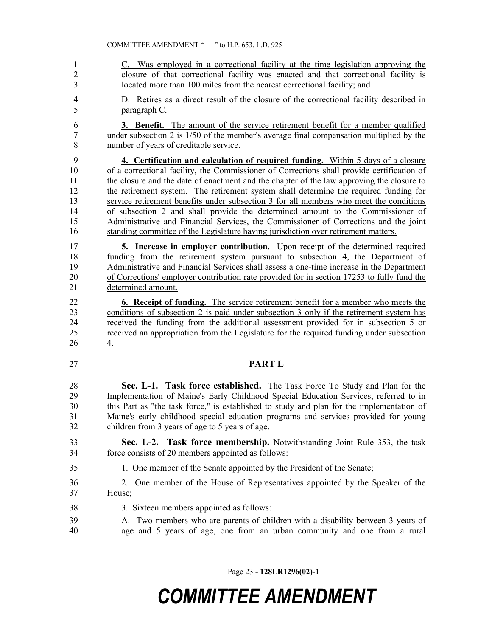| $\mathbf{1}$   | C. Was employed in a correctional facility at the time legislation approving the           |
|----------------|--------------------------------------------------------------------------------------------|
| $\overline{2}$ | closure of that correctional facility was enacted and that correctional facility is        |
| $\overline{3}$ | located more than 100 miles from the nearest correctional facility; and                    |
| $\overline{4}$ | D. Retires as a direct result of the closure of the correctional facility described in     |
| 5              | paragraph C.                                                                               |
| 6              | <b>3. Benefit.</b> The amount of the service retirement benefit for a member qualified     |
| $\tau$         | under subsection 2 is $1/50$ of the member's average final compensation multiplied by the  |
| 8              | number of years of creditable service.                                                     |
| 9              | 4. Certification and calculation of required funding. Within 5 days of a closure           |
| 10             | of a correctional facility, the Commissioner of Corrections shall provide certification of |
| 11             | the closure and the date of enactment and the chapter of the law approving the closure to  |
| 12             | the retirement system. The retirement system shall determine the required funding for      |
| 13             | service retirement benefits under subsection 3 for all members who meet the conditions     |
| 14             | of subsection 2 and shall provide the determined amount to the Commissioner of             |
| 15             | Administrative and Financial Services, the Commissioner of Corrections and the joint       |
| 16             | standing committee of the Legislature having jurisdiction over retirement matters.         |
| 17             | 5. Increase in employer contribution. Upon receipt of the determined required              |
| 18             | funding from the retirement system pursuant to subsection 4, the Department of             |
| 19             | Administrative and Financial Services shall assess a one-time increase in the Department   |
| 20             | of Corrections' employer contribution rate provided for in section 17253 to fully fund the |
| 21             | determined amount.                                                                         |
| 22             | 6. Receipt of funding. The service retirement benefit for a member who meets the           |
| 23             | conditions of subsection 2 is paid under subsection 3 only if the retirement system has    |
| 24             | received the funding from the additional assessment provided for in subsection 5 or        |
| 25             | received an appropriation from the Legislature for the required funding under subsection   |
| 26             | <u>4.</u>                                                                                  |
| 27             | <b>PART L</b>                                                                              |
| 28             | Sec. L-1. Task force established. The Task Force To Study and Plan for the                 |
| 29             | Implementation of Maine's Early Childhood Special Education Services, referred to in       |
| 30             | this Part as "the task force," is established to study and plan for the implementation of  |
| 31             | Maine's early childhood special education programs and services provided for young         |
| 32             | children from 3 years of age to 5 years of age.                                            |
| 33             | Sec. L-2. Task force membership. Notwithstanding Joint Rule 353, the task                  |
| 34             | force consists of 20 members appointed as follows:                                         |
| 35             | 1. One member of the Senate appointed by the President of the Senate;                      |
| 36             | 2. One member of the House of Representatives appointed by the Speaker of the              |
| 37             | House;                                                                                     |
| 38             | 3. Sixteen members appointed as follows:                                                   |
| 39             | A. Two members who are parents of children with a disability between 3 years of            |
| 40             | age and 5 years of age, one from an urban community and one from a rural                   |

Page 23 **- 128LR1296(02)-1**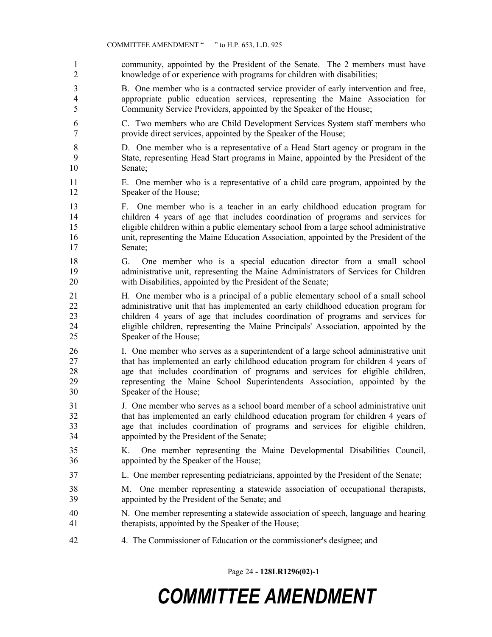- community, appointed by the President of the Senate. The 2 members must have knowledge of or experience with programs for children with disabilities;
- B. One member who is a contracted service provider of early intervention and free, appropriate public education services, representing the Maine Association for Community Service Providers, appointed by the Speaker of the House;
- C. Two members who are Child Development Services System staff members who provide direct services, appointed by the Speaker of the House;
- D. One member who is a representative of a Head Start agency or program in the State, representing Head Start programs in Maine, appointed by the President of the Senate;
- E. One member who is a representative of a child care program, appointed by the Speaker of the House;
- F. One member who is a teacher in an early childhood education program for children 4 years of age that includes coordination of programs and services for eligible children within a public elementary school from a large school administrative unit, representing the Maine Education Association, appointed by the President of the Senate;
- G. One member who is a special education director from a small school administrative unit, representing the Maine Administrators of Services for Children with Disabilities, appointed by the President of the Senate;
- H. One member who is a principal of a public elementary school of a small school administrative unit that has implemented an early childhood education program for children 4 years of age that includes coordination of programs and services for eligible children, representing the Maine Principals' Association, appointed by the Speaker of the House;
- I. One member who serves as a superintendent of a large school administrative unit that has implemented an early childhood education program for children 4 years of age that includes coordination of programs and services for eligible children, representing the Maine School Superintendents Association, appointed by the Speaker of the House;
- J. One member who serves as a school board member of a school administrative unit that has implemented an early childhood education program for children 4 years of age that includes coordination of programs and services for eligible children, appointed by the President of the Senate;
- K. One member representing the Maine Developmental Disabilities Council, appointed by the Speaker of the House;
- L. One member representing pediatricians, appointed by the President of the Senate;
- M. One member representing a statewide association of occupational therapists, appointed by the President of the Senate; and
- N. One member representing a statewide association of speech, language and hearing therapists, appointed by the Speaker of the House;
- 4. The Commissioner of Education or the commissioner's designee; and

Page 24 **- 128LR1296(02)-1**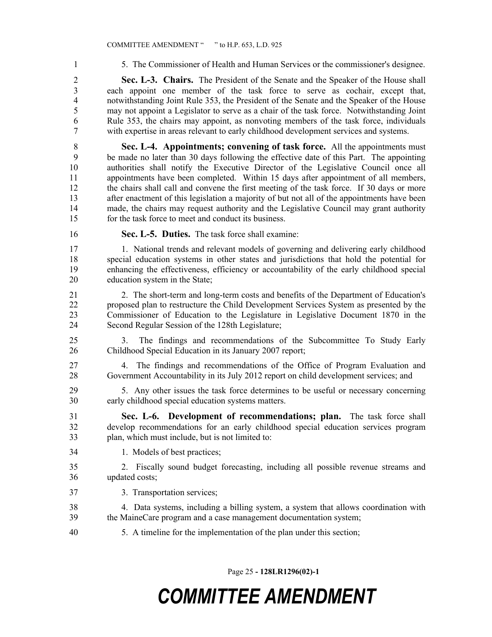5. The Commissioner of Health and Human Services or the commissioner's designee.

 **Sec. L-3. Chairs.** The President of the Senate and the Speaker of the House shall each appoint one member of the task force to serve as cochair, except that, notwithstanding Joint Rule 353, the President of the Senate and the Speaker of the House may not appoint a Legislator to serve as a chair of the task force. Notwithstanding Joint Rule 353, the chairs may appoint, as nonvoting members of the task force, individuals with expertise in areas relevant to early childhood development services and systems.

 **Sec. L-4. Appointments; convening of task force.** All the appointments must be made no later than 30 days following the effective date of this Part. The appointing authorities shall notify the Executive Director of the Legislative Council once all appointments have been completed. Within 15 days after appointment of all members, the chairs shall call and convene the first meeting of the task force. If 30 days or more after enactment of this legislation a majority of but not all of the appointments have been made, the chairs may request authority and the Legislative Council may grant authority for the task force to meet and conduct its business.

- 
- **Sec. L-5. Duties.** The task force shall examine:

 1. National trends and relevant models of governing and delivering early childhood special education systems in other states and jurisdictions that hold the potential for enhancing the effectiveness, efficiency or accountability of the early childhood special education system in the State;

 2. The short-term and long-term costs and benefits of the Department of Education's proposed plan to restructure the Child Development Services System as presented by the Commissioner of Education to the Legislature in Legislative Document 1870 in the Second Regular Session of the 128th Legislature;

 3. The findings and recommendations of the Subcommittee To Study Early Childhood Special Education in its January 2007 report;

 4. The findings and recommendations of the Office of Program Evaluation and Government Accountability in its July 2012 report on child development services; and

 5. Any other issues the task force determines to be useful or necessary concerning early childhood special education systems matters.

 **Sec. L-6. Development of recommendations; plan.** The task force shall develop recommendations for an early childhood special education services program plan, which must include, but is not limited to:

1. Models of best practices;

 2. Fiscally sound budget forecasting, including all possible revenue streams and updated costs;

3. Transportation services;

 4. Data systems, including a billing system, a system that allows coordination with the MaineCare program and a case management documentation system;

5. A timeline for the implementation of the plan under this section;

Page 25 **- 128LR1296(02)-1**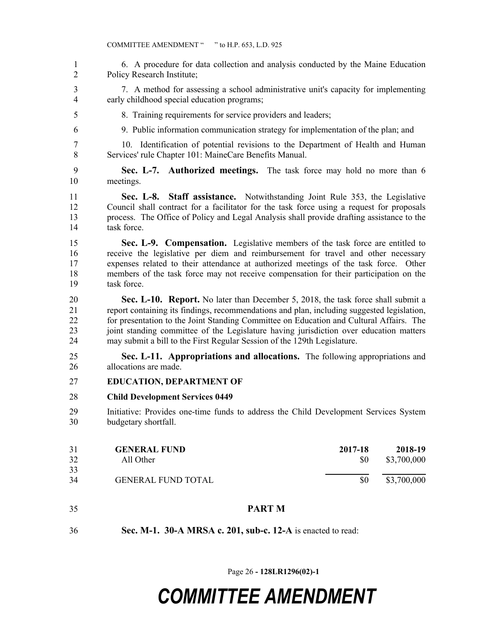| $\mathbf{1}$<br>2             | 6. A procedure for data collection and analysis conducted by the Maine Education<br>Policy Research Institute;                                                                                                                                                                                                                                                                                                                                  |                |                        |
|-------------------------------|-------------------------------------------------------------------------------------------------------------------------------------------------------------------------------------------------------------------------------------------------------------------------------------------------------------------------------------------------------------------------------------------------------------------------------------------------|----------------|------------------------|
| 3<br>$\overline{\mathcal{A}}$ | 7. A method for assessing a school administrative unit's capacity for implementing<br>early childhood special education programs;                                                                                                                                                                                                                                                                                                               |                |                        |
| 5                             | 8. Training requirements for service providers and leaders;                                                                                                                                                                                                                                                                                                                                                                                     |                |                        |
| 6                             | 9. Public information communication strategy for implementation of the plan; and                                                                                                                                                                                                                                                                                                                                                                |                |                        |
| 7<br>8                        | 10. Identification of potential revisions to the Department of Health and Human<br>Services' rule Chapter 101: MaineCare Benefits Manual.                                                                                                                                                                                                                                                                                                       |                |                        |
| 9<br>10                       | Sec. L-7. Authorized meetings. The task force may hold no more than 6<br>meetings.                                                                                                                                                                                                                                                                                                                                                              |                |                        |
| 11<br>12<br>13<br>14          | Sec. L-8.<br><b>Staff assistance.</b> Notwithstanding Joint Rule 353, the Legislative<br>Council shall contract for a facilitator for the task force using a request for proposals<br>process. The Office of Policy and Legal Analysis shall provide drafting assistance to the<br>task force.                                                                                                                                                  |                |                        |
| 15<br>16<br>17<br>18<br>19    | Sec. L-9. Compensation. Legislative members of the task force are entitled to<br>receive the legislative per diem and reimbursement for travel and other necessary<br>expenses related to their attendance at authorized meetings of the task force.<br>Other<br>members of the task force may not receive compensation for their participation on the<br>task force.                                                                           |                |                        |
| 20<br>21<br>22<br>23<br>24    | Sec. L-10. Report. No later than December 5, 2018, the task force shall submit a<br>report containing its findings, recommendations and plan, including suggested legislation,<br>for presentation to the Joint Standing Committee on Education and Cultural Affairs. The<br>joint standing committee of the Legislature having jurisdiction over education matters<br>may submit a bill to the First Regular Session of the 129th Legislature. |                |                        |
| 25<br>26                      | Sec. L-11. Appropriations and allocations. The following appropriations and<br>allocations are made.                                                                                                                                                                                                                                                                                                                                            |                |                        |
| 27                            | <b>EDUCATION, DEPARTMENT OF</b>                                                                                                                                                                                                                                                                                                                                                                                                                 |                |                        |
| 28                            | <b>Child Development Services 0449</b>                                                                                                                                                                                                                                                                                                                                                                                                          |                |                        |
| 29<br>30                      | Initiative: Provides one-time funds to address the Child Development Services System<br>budgetary shortfall.                                                                                                                                                                                                                                                                                                                                    |                |                        |
| 31<br>32                      | <b>GENERAL FUND</b><br>All Other                                                                                                                                                                                                                                                                                                                                                                                                                | 2017-18<br>\$0 | 2018-19<br>\$3,700,000 |
| 33<br>34                      | <b>GENERAL FUND TOTAL</b>                                                                                                                                                                                                                                                                                                                                                                                                                       | \$0            | \$3,700,000            |
| 35                            | <b>PART M</b>                                                                                                                                                                                                                                                                                                                                                                                                                                   |                |                        |
| 36                            | Sec. M-1. 30-A MRSA c. 201, sub-c. 12-A is enacted to read:                                                                                                                                                                                                                                                                                                                                                                                     |                |                        |

Page 26 **- 128LR1296(02)-1**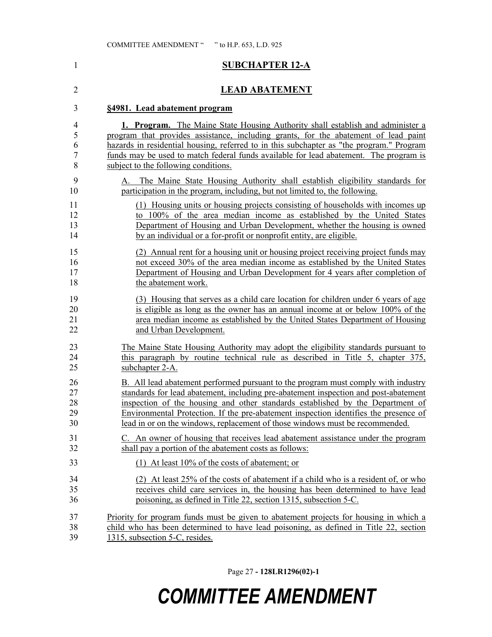#### **SUBCHAPTER 12-A**

#### **LEAD ABATEMENT**

#### **§4981. Lead abatement program**

|    | 1. Program. The Maine State Housing Authority shall establish and administer a           |
|----|------------------------------------------------------------------------------------------|
| 5  | program that provides assistance, including grants, for the abatement of lead paint      |
| 6. | hazards in residential housing, referred to in this subchapter as "the program." Program |
|    | funds may be used to match federal funds available for lead abatement. The program is    |
| 8  | subject to the following conditions.                                                     |
|    |                                                                                          |

- A. The Maine State Housing Authority shall establish eligibility standards for participation in the program, including, but not limited to, the following.
- (1) Housing units or housing projects consisting of households with incomes up to 100% of the area median income as established by the United States Department of Housing and Urban Development, whether the housing is owned by an individual or a for-profit or nonprofit entity, are eligible.
- (2) Annual rent for a housing unit or housing project receiving project funds may not exceed 30% of the area median income as established by the United States Department of Housing and Urban Development for 4 years after completion of 18 the abatement work.
- (3) Housing that serves as a child care location for children under 6 years of age is eligible as long as the owner has an annual income at or below 100% of the area median income as established by the United States Department of Housing and Urban Development.
- The Maine State Housing Authority may adopt the eligibility standards pursuant to this paragraph by routine technical rule as described in Title 5, chapter 375, subchapter 2-A.
- B. All lead abatement performed pursuant to the program must comply with industry standards for lead abatement, including pre-abatement inspection and post-abatement inspection of the housing and other standards established by the Department of Environmental Protection. If the pre-abatement inspection identifies the presence of lead in or on the windows, replacement of those windows must be recommended.
- C. An owner of housing that receives lead abatement assistance under the program shall pay a portion of the abatement costs as follows:
- (1) At least 10% of the costs of abatement; or
- (2) At least 25% of the costs of abatement if a child who is a resident of, or who receives child care services in, the housing has been determined to have lead poisoning, as defined in Title 22, section 1315, subsection 5-C.
- Priority for program funds must be given to abatement projects for housing in which a child who has been determined to have lead poisoning, as defined in Title 22, section 1315, subsection 5-C, resides.

Page 27 **- 128LR1296(02)-1**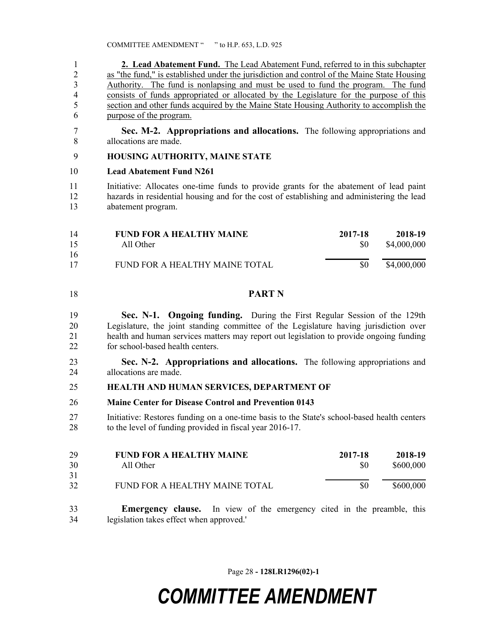**2. Lead Abatement Fund.** The Lead Abatement Fund, referred to in this subchapter as "the fund," is established under the jurisdiction and control of the Maine State Housing Authority. The fund is nonlapsing and must be used to fund the program. The fund consists of funds appropriated or allocated by the Legislature for the purpose of this section and other funds acquired by the Maine State Housing Authority to accomplish the purpose of the program.

 **Sec. M-2. Appropriations and allocations.** The following appropriations and allocations are made.

#### **HOUSING AUTHORITY, MAINE STATE**

#### **Lead Abatement Fund N261**

 Initiative: Allocates one-time funds to provide grants for the abatement of lead paint hazards in residential housing and for the cost of establishing and administering the lead abatement program.

| 14 | <b>FUND FOR A HEALTHY MAINE</b> | 2017-18 | 2018-19     |
|----|---------------------------------|---------|-------------|
| 15 | All Other                       | SO.     | \$4,000,000 |
| 16 |                                 |         |             |
| 17 | FUND FOR A HEALTHY MAINE TOTAL  | SO.     | \$4,000,000 |

**PART N**

 **Sec. N-1. Ongoing funding.** During the First Regular Session of the 129th Legislature, the joint standing committee of the Legislature having jurisdiction over health and human services matters may report out legislation to provide ongoing funding for school-based health centers.

 **Sec. N-2. Appropriations and allocations.** The following appropriations and allocations are made.

#### **HEALTH AND HUMAN SERVICES, DEPARTMENT OF**

**Maine Center for Disease Control and Prevention 0143**

 Initiative: Restores funding on a one-time basis to the State's school-based health centers to the level of funding provided in fiscal year 2016-17.

| 29 | <b>FUND FOR A HEALTHY MAINE</b> | 2017-18 | 2018-19   |
|----|---------------------------------|---------|-----------|
| 30 | All Other                       | SO.     | \$600,000 |
| 31 |                                 |         |           |
| 32 | FUND FOR A HEALTHY MAINE TOTAL  | \$0     | \$600,000 |

 **Emergency clause.** In view of the emergency cited in the preamble, this legislation takes effect when approved.'

Page 28 **- 128LR1296(02)-1**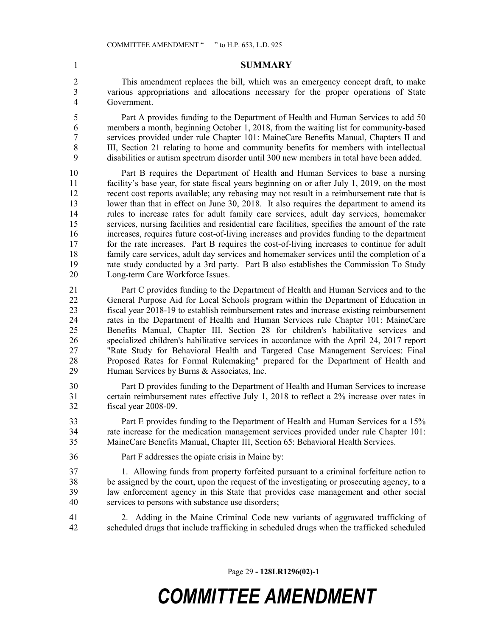#### **SUMMARY**

 This amendment replaces the bill, which was an emergency concept draft, to make various appropriations and allocations necessary for the proper operations of State Government.

 Part A provides funding to the Department of Health and Human Services to add 50 members a month, beginning October 1, 2018, from the waiting list for community-based services provided under rule Chapter 101: MaineCare Benefits Manual, Chapters II and III, Section 21 relating to home and community benefits for members with intellectual disabilities or autism spectrum disorder until 300 new members in total have been added.

 Part B requires the Department of Health and Human Services to base a nursing facility's base year, for state fiscal years beginning on or after July 1, 2019, on the most recent cost reports available; any rebasing may not result in a reimbursement rate that is 13 lower than that in effect on June 30, 2018. It also requires the department to amend its rules to increase rates for adult family care services, adult day services, homemaker services, nursing facilities and residential care facilities, specifies the amount of the rate increases, requires future cost-of-living increases and provides funding to the department for the rate increases. Part B requires the cost-of-living increases to continue for adult family care services, adult day services and homemaker services until the completion of a rate study conducted by a 3rd party. Part B also establishes the Commission To Study Long-term Care Workforce Issues.

 Part C provides funding to the Department of Health and Human Services and to the General Purpose Aid for Local Schools program within the Department of Education in fiscal year 2018-19 to establish reimbursement rates and increase existing reimbursement rates in the Department of Health and Human Services rule Chapter 101: MaineCare Benefits Manual, Chapter III, Section 28 for children's habilitative services and specialized children's habilitative services in accordance with the April 24, 2017 report "Rate Study for Behavioral Health and Targeted Case Management Services: Final Proposed Rates for Formal Rulemaking" prepared for the Department of Health and Human Services by Burns & Associates, Inc.

 Part D provides funding to the Department of Health and Human Services to increase certain reimbursement rates effective July 1, 2018 to reflect a 2% increase over rates in fiscal year 2008-09.

 Part E provides funding to the Department of Health and Human Services for a 15% rate increase for the medication management services provided under rule Chapter 101: MaineCare Benefits Manual, Chapter III, Section 65: Behavioral Health Services.

Part F addresses the opiate crisis in Maine by:

 1. Allowing funds from property forfeited pursuant to a criminal forfeiture action to be assigned by the court, upon the request of the investigating or prosecuting agency, to a law enforcement agency in this State that provides case management and other social services to persons with substance use disorders;

 2. Adding in the Maine Criminal Code new variants of aggravated trafficking of scheduled drugs that include trafficking in scheduled drugs when the trafficked scheduled

Page 29 **- 128LR1296(02)-1**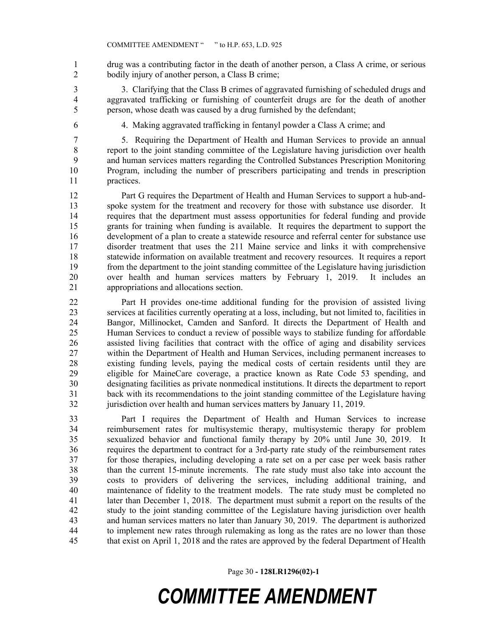drug was a contributing factor in the death of another person, a Class A crime, or serious bodily injury of another person, a Class B crime;

 3. Clarifying that the Class B crimes of aggravated furnishing of scheduled drugs and aggravated trafficking or furnishing of counterfeit drugs are for the death of another person, whose death was caused by a drug furnished by the defendant;

4. Making aggravated trafficking in fentanyl powder a Class A crime; and

 5. Requiring the Department of Health and Human Services to provide an annual report to the joint standing committee of the Legislature having jurisdiction over health and human services matters regarding the Controlled Substances Prescription Monitoring Program, including the number of prescribers participating and trends in prescription practices.

 Part G requires the Department of Health and Human Services to support a hub-and- spoke system for the treatment and recovery for those with substance use disorder. It requires that the department must assess opportunities for federal funding and provide grants for training when funding is available. It requires the department to support the development of a plan to create a statewide resource and referral center for substance use disorder treatment that uses the 211 Maine service and links it with comprehensive statewide information on available treatment and recovery resources. It requires a report from the department to the joint standing committee of the Legislature having jurisdiction over health and human services matters by February 1, 2019. It includes an appropriations and allocations section.

 Part H provides one-time additional funding for the provision of assisted living services at facilities currently operating at a loss, including, but not limited to, facilities in Bangor, Millinocket, Camden and Sanford. It directs the Department of Health and Human Services to conduct a review of possible ways to stabilize funding for affordable assisted living facilities that contract with the office of aging and disability services within the Department of Health and Human Services, including permanent increases to existing funding levels, paying the medical costs of certain residents until they are eligible for MaineCare coverage, a practice known as Rate Code 53 spending, and designating facilities as private nonmedical institutions. It directs the department to report back with its recommendations to the joint standing committee of the Legislature having jurisdiction over health and human services matters by January 11, 2019.

 Part I requires the Department of Health and Human Services to increase reimbursement rates for multisystemic therapy, multisystemic therapy for problem sexualized behavior and functional family therapy by 20% until June 30, 2019. It requires the department to contract for a 3rd-party rate study of the reimbursement rates for those therapies, including developing a rate set on a per case per week basis rather than the current 15-minute increments. The rate study must also take into account the costs to providers of delivering the services, including additional training, and maintenance of fidelity to the treatment models. The rate study must be completed no later than December 1, 2018. The department must submit a report on the results of the study to the joint standing committee of the Legislature having jurisdiction over health and human services matters no later than January 30, 2019. The department is authorized to implement new rates through rulemaking as long as the rates are no lower than those that exist on April 1, 2018 and the rates are approved by the federal Department of Health

Page 30 **- 128LR1296(02)-1**